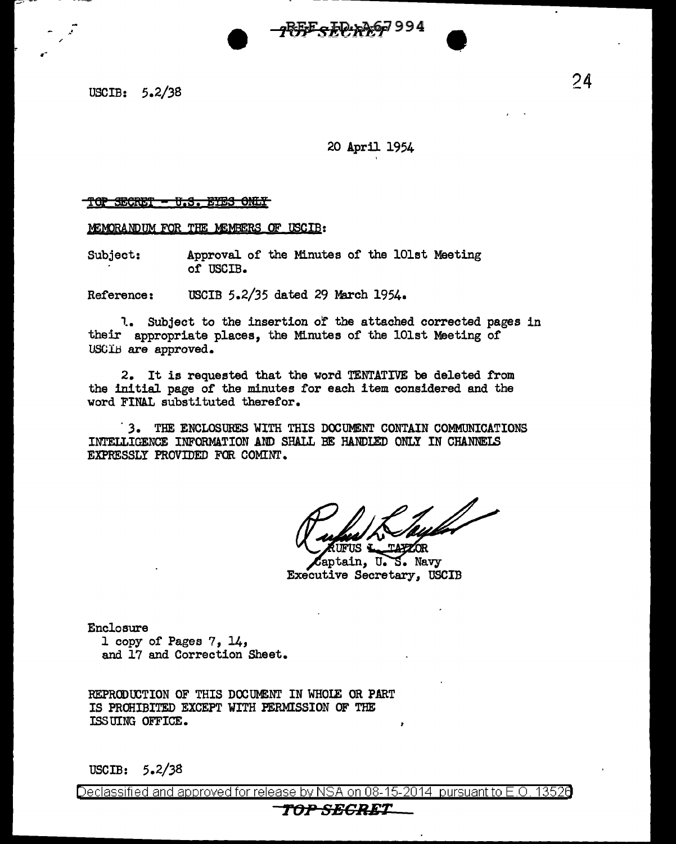USCIB:  $5.2/38$  24

.·

.-

## 20 April 1954

#### <u>TOP SECRET - U.S. EYES ONLY</u>

MEMORANDUM FOR THE MEMBERS OF USCIB:

Subject: Approval or the Minutes of the lOlst Meeting of USCIB.

Reference: USCIB 5.2/35 dated 29 March 1954.

1. Subject to the insertion of the attached corrected pages in their appropriate places, the Minutes of the lOlst Meeting of USCIB are approved.

2. It is requested that the word TENTATIVE be deleted from the initial page or the minutes for each item considered and the word FINAL substituted therefor •

. *3.* THE ENCLOSURES WITH THIS DOOUMENT CONTAIN COMMUNICATIONS INTELLIGENCE INFORMATION AND SHALL BE HANDIED ONLY IN CHANNELS EXPRESSLY PROVIDED FOR COMINT.

Taylar

AUFUS <del>& TAYZOR</del><br>Captain, U.S. Navy Executive Secretary, USCIB

Enclosure 1 copy of Pages 7, 14, and 17 and Correction Sheet.

REPRODUCTION OF THIS DOCUMENT IN WHOIE OR PART IS PROHIBITED EXCEPT WITH PERMISSION OF THE !SS UING OFFICE,

USCIB: 5.2/38

Declassified and approved for release by NSA on 08-15-2014  $\,$  pursuant to E.O. 13526  $\,$ 

# **TfJPSBCBET**